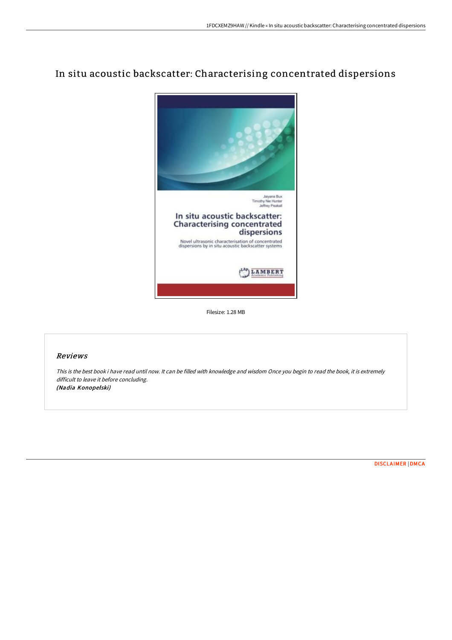# In situ acoustic backscatter: Characterising concentrated dispersions



Filesize: 1.28 MB

## Reviews

This is the best book i have read until now. It can be filled with knowledge and wisdom Once you begin to read the book, it is extremely difficult to leave it before concluding. (Nadia Konopelski)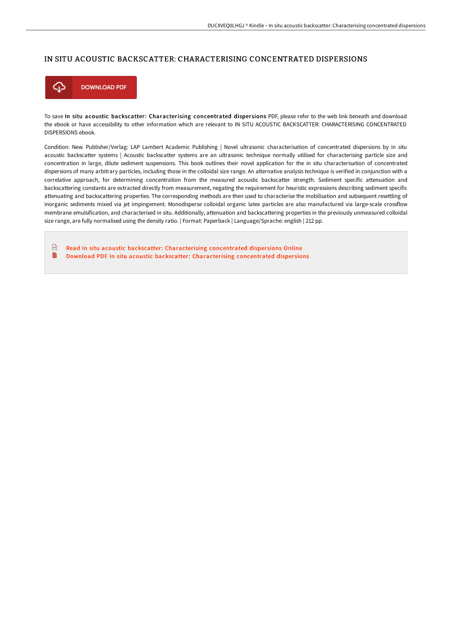## IN SITU ACOUSTIC BACKSCATTER: CHARACTERISING CONCENTRATED DISPERSIONS



To save In situ acoustic backscatter: Characterising concentrated dispersions PDF, please refer to the web link beneath and download the ebook or have accessibility to other information which are relevant to IN SITU ACOUSTIC BACKSCATTER: CHARACTERISING CONCENTRATED DISPERSIONS ebook.

Condition: New. Publisher/Verlag: LAP Lambert Academic Publishing | Novel ultrasonic characterisation of concentrated dispersions by in situ acoustic backscatter systems | Acoustic backscatter systems are an ultrasonic technique normally utilised for characterising particle size and concentration in large, dilute sediment suspensions. This book outlines their novel application for the in situ characterisation of concentrated dispersions of many arbitrary particles, including those in the colloidal size range. An alternative analysis technique is verified in conjunction with a correlative approach, for determining concentration from the measured acoustic backscatter strength. Sediment specific attenuation and backscattering constants are extracted directly from measurement, negating the requirement for heuristic expressions describing sediment specific attenuating and backscattering properties. The corresponding methods are then used to characterise the mobilisation and subsequent resettling of inorganic sediments mixed via jet impingement. Monodisperse colloidal organic latex particles are also manufactured via large-scale crossflow membrane emulsification, and characterised in situ. Additionally, attenuation and backscattering properties in the previously unmeasured colloidal size range, are fully normalised using the density ratio. | Format: Paperback | Language/Sprache: english | 212 pp.

 $\boxed{m}$ Read In situ acoustic backscatter: [Characterising](http://albedo.media/in-situ-acoustic-backscatter-characterising-conc.html) concentrated dispersions Online D Download PDF In situ acoustic backscatter: [Characterising](http://albedo.media/in-situ-acoustic-backscatter-characterising-conc.html) concentrated disper sions